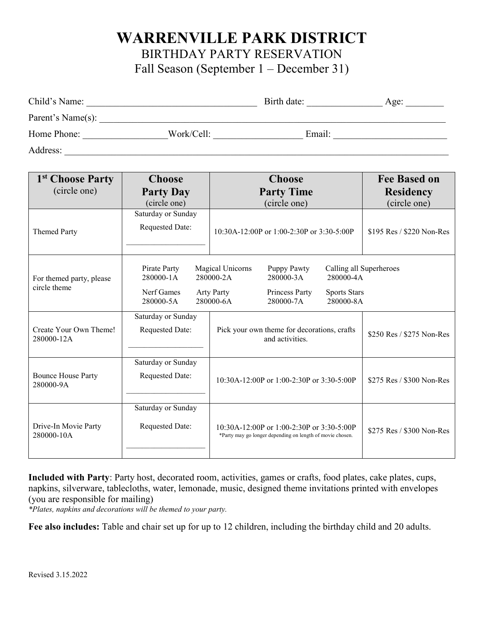## **WARRENVILLE PARK DISTRICT**

BIRTHDAY PARTY RESERVATION

Fall Season (September 1 – December 31)

| Child's Name:     |            | Birth date: | Age: |
|-------------------|------------|-------------|------|
| Parent's Name(s): |            |             |      |
| Home Phone:       | Work/Cell: | Email:      |      |
| Address:          |            |             |      |

| 1 <sup>st</sup> Choose Party             | <b>Choose</b>                                        | <b>Choose</b>                                                                                                                                                                                          | <b>Fee Based on</b>       |
|------------------------------------------|------------------------------------------------------|--------------------------------------------------------------------------------------------------------------------------------------------------------------------------------------------------------|---------------------------|
| (circle one)                             | <b>Party Day</b>                                     | <b>Party Time</b>                                                                                                                                                                                      | <b>Residency</b>          |
|                                          | (circle one)                                         | (circle one)                                                                                                                                                                                           | (circle one)              |
| <b>Themed Party</b>                      | Saturday or Sunday<br>Requested Date:                | 10:30A-12:00P or 1:00-2:30P or 3:30-5:00P                                                                                                                                                              | \$195 Res / \$220 Non-Res |
| For themed party, please<br>circle theme | Pirate Party<br>280000-1A<br>Nerf Games<br>280000-5A | Calling all Superheroes<br>Magical Unicorns<br>Puppy Pawty<br>280000-2A<br>280000-4A<br>280000-3A<br>Princess Party<br><b>Arty Party</b><br><b>Sports Stars</b><br>280000-6A<br>280000-7A<br>280000-8A |                           |
| Create Your Own Theme!<br>280000-12A     | Saturday or Sunday<br><b>Requested Date:</b>         | Pick your own theme for decorations, crafts<br>and activities.                                                                                                                                         | \$250 Res / \$275 Non-Res |
| <b>Bounce House Party</b><br>280000-9A   | Saturday or Sunday<br><b>Requested Date:</b>         | 10:30A-12:00P or 1:00-2:30P or 3:30-5:00P                                                                                                                                                              | \$275 Res / \$300 Non-Res |
| Drive-In Movie Party<br>280000-10A       | Saturday or Sunday<br><b>Requested Date:</b>         | $10:30A-12:00P$ or $1:00-2:30P$ or $3:30-5:00P$<br>*Party may go longer depending on length of movie chosen.                                                                                           | \$275 Res / \$300 Non-Res |

**Included with Party**: Party host, decorated room, activities, games or crafts, food plates, cake plates, cups, napkins, silverware, tablecloths, water, lemonade, music, designed theme invitations printed with envelopes (you are responsible for mailing)

*\*Plates, napkins and decorations will be themed to your party.*

**Fee also includes:** Table and chair set up for up to 12 children, including the birthday child and 20 adults.